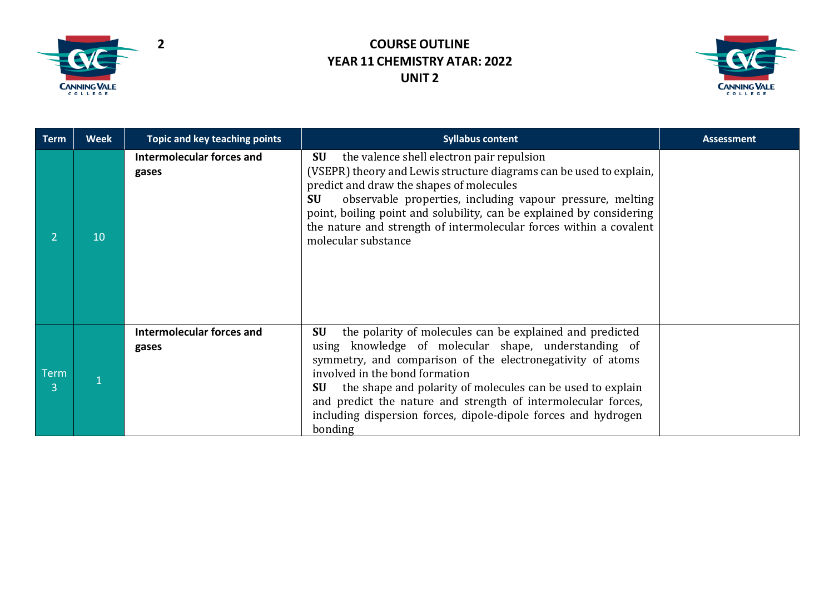



| <b>Term</b> | <b>Week</b> | Topic and key teaching points             | <b>Syllabus content</b>                                                                                                                                                                                                                                                                                                                                                                                                                         | <b>Assessment</b> |  |
|-------------|-------------|-------------------------------------------|-------------------------------------------------------------------------------------------------------------------------------------------------------------------------------------------------------------------------------------------------------------------------------------------------------------------------------------------------------------------------------------------------------------------------------------------------|-------------------|--|
|             | 10          | <b>Intermolecular forces and</b><br>gases | <b>SU</b><br>the valence shell electron pair repulsion<br>(VSEPR) theory and Lewis structure diagrams can be used to explain,<br>predict and draw the shapes of molecules<br>observable properties, including vapour pressure, melting<br><b>SU</b><br>point, boiling point and solubility, can be explained by considering<br>the nature and strength of intermolecular forces within a covalent<br>molecular substance                        |                   |  |
| Term        |             | <b>Intermolecular forces and</b><br>gases | the polarity of molecules can be explained and predicted<br>SU<br>using knowledge of molecular shape, understanding of<br>symmetry, and comparison of the electronegativity of atoms<br>involved in the bond formation<br>the shape and polarity of molecules can be used to explain<br><b>SU</b><br>and predict the nature and strength of intermolecular forces,<br>including dispersion forces, dipole-dipole forces and hydrogen<br>bonding |                   |  |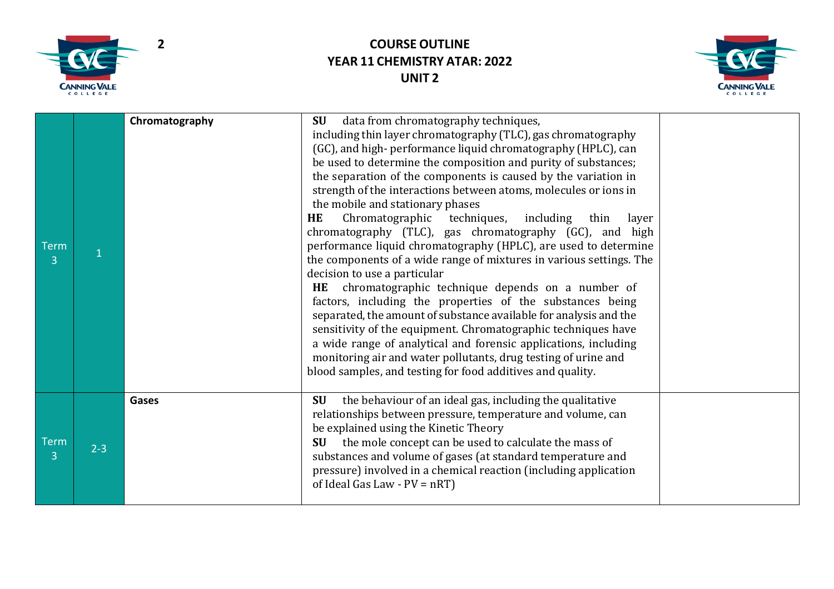



| <b>Term</b><br>$\overline{3}$ |         | Chromatography | data from chromatography techniques,<br><b>SU</b><br>including thin layer chromatography (TLC), gas chromatography<br>(GC), and high-performance liquid chromatography (HPLC), can<br>be used to determine the composition and purity of substances;<br>the separation of the components is caused by the variation in<br>strength of the interactions between atoms, molecules or ions in<br>the mobile and stationary phases<br>Chromatographic techniques, including<br><b>HE</b><br>thin<br>layer<br>chromatography (TLC), gas chromatography (GC), and high<br>performance liquid chromatography (HPLC), are used to determine<br>the components of a wide range of mixtures in various settings. The<br>decision to use a particular<br>chromatographic technique depends on a number of<br><b>HE</b><br>factors, including the properties of the substances being<br>separated, the amount of substance available for analysis and the<br>sensitivity of the equipment. Chromatographic techniques have<br>a wide range of analytical and forensic applications, including<br>monitoring air and water pollutants, drug testing of urine and<br>blood samples, and testing for food additives and quality. |  |
|-------------------------------|---------|----------------|-------------------------------------------------------------------------------------------------------------------------------------------------------------------------------------------------------------------------------------------------------------------------------------------------------------------------------------------------------------------------------------------------------------------------------------------------------------------------------------------------------------------------------------------------------------------------------------------------------------------------------------------------------------------------------------------------------------------------------------------------------------------------------------------------------------------------------------------------------------------------------------------------------------------------------------------------------------------------------------------------------------------------------------------------------------------------------------------------------------------------------------------------------------------------------------------------------------------|--|
| <b>Term</b><br>$\overline{3}$ | $2 - 3$ | Gases          | the behaviour of an ideal gas, including the qualitative<br>SU<br>relationships between pressure, temperature and volume, can<br>be explained using the Kinetic Theory<br>the mole concept can be used to calculate the mass of<br><b>SU</b><br>substances and volume of gases (at standard temperature and<br>pressure) involved in a chemical reaction (including application<br>of Ideal Gas Law - $PV = nRT$ )                                                                                                                                                                                                                                                                                                                                                                                                                                                                                                                                                                                                                                                                                                                                                                                                |  |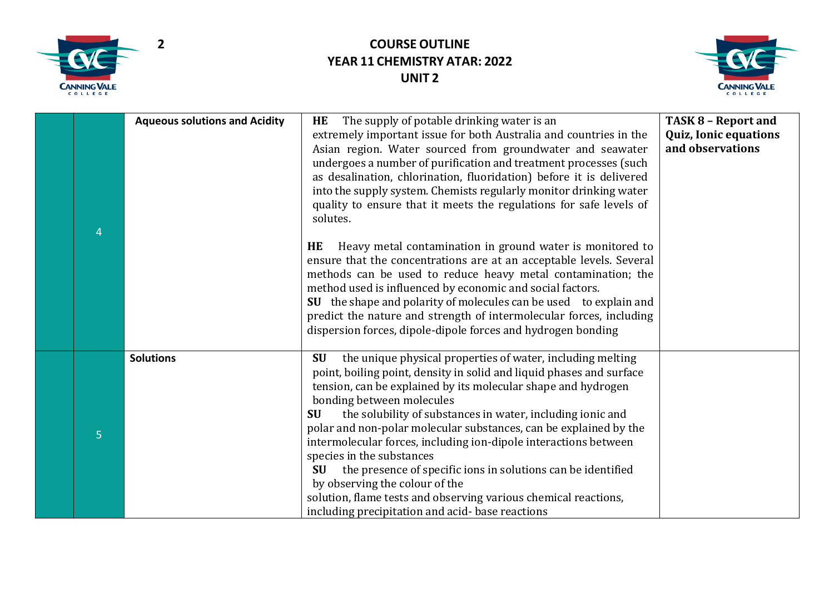



| 4              | <b>Aqueous solutions and Acidity</b> | The supply of potable drinking water is an<br>HE<br>extremely important issue for both Australia and countries in the<br>Asian region. Water sourced from groundwater and seawater<br>undergoes a number of purification and treatment processes (such<br>as desalination, chlorination, fluoridation) before it is delivered<br>into the supply system. Chemists regularly monitor drinking water<br>quality to ensure that it meets the regulations for safe levels of<br>solutes.<br>Heavy metal contamination in ground water is monitored to<br>HE<br>ensure that the concentrations are at an acceptable levels. Several<br>methods can be used to reduce heavy metal contamination; the<br>method used is influenced by economic and social factors.<br>SU the shape and polarity of molecules can be used to explain and<br>predict the nature and strength of intermolecular forces, including<br>dispersion forces, dipole-dipole forces and hydrogen bonding | <b>TASK 8 - Report and</b><br><b>Quiz, Ionic equations</b><br>and observations |
|----------------|--------------------------------------|-------------------------------------------------------------------------------------------------------------------------------------------------------------------------------------------------------------------------------------------------------------------------------------------------------------------------------------------------------------------------------------------------------------------------------------------------------------------------------------------------------------------------------------------------------------------------------------------------------------------------------------------------------------------------------------------------------------------------------------------------------------------------------------------------------------------------------------------------------------------------------------------------------------------------------------------------------------------------|--------------------------------------------------------------------------------|
| $\overline{5}$ | <b>Solutions</b>                     | the unique physical properties of water, including melting<br><b>SU</b><br>point, boiling point, density in solid and liquid phases and surface<br>tension, can be explained by its molecular shape and hydrogen<br>bonding between molecules<br>the solubility of substances in water, including ionic and<br><b>SU</b><br>polar and non-polar molecular substances, can be explained by the<br>intermolecular forces, including ion-dipole interactions between<br>species in the substances<br>the presence of specific ions in solutions can be identified<br><b>SU</b><br>by observing the colour of the<br>solution, flame tests and observing various chemical reactions,<br>including precipitation and acid-base reactions                                                                                                                                                                                                                                     |                                                                                |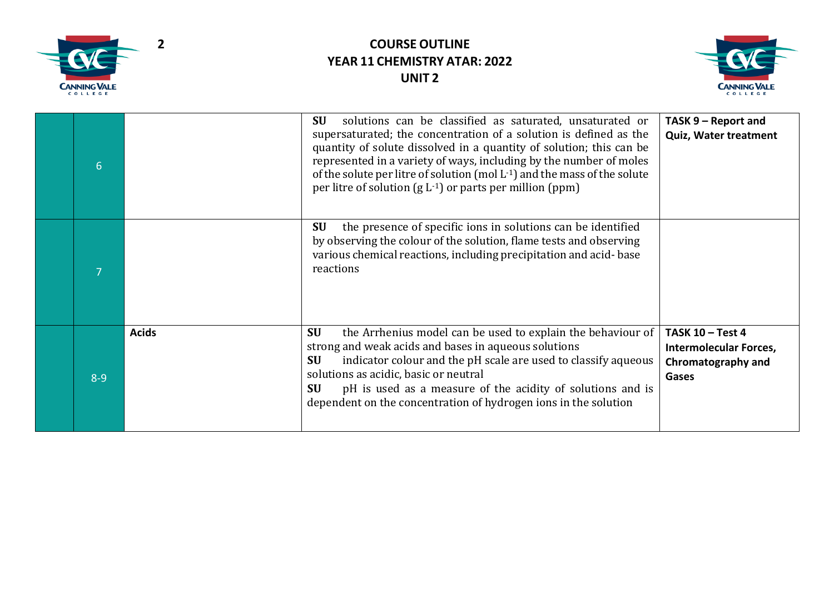



| 6       |              | solutions can be classified as saturated, unsaturated or<br><b>SU</b><br>supersaturated; the concentration of a solution is defined as the<br>quantity of solute dissolved in a quantity of solution; this can be<br>represented in a variety of ways, including by the number of moles<br>of the solute per litre of solution (mol $L^{-1}$ ) and the mass of the solute<br>per litre of solution $(g L^{-1})$ or parts per million (ppm) | TASK 9 - Report and<br><b>Quiz, Water treatment</b>                                                   |
|---------|--------------|--------------------------------------------------------------------------------------------------------------------------------------------------------------------------------------------------------------------------------------------------------------------------------------------------------------------------------------------------------------------------------------------------------------------------------------------|-------------------------------------------------------------------------------------------------------|
|         |              | <b>SU</b><br>the presence of specific ions in solutions can be identified<br>by observing the colour of the solution, flame tests and observing<br>various chemical reactions, including precipitation and acid-base<br>reactions                                                                                                                                                                                                          |                                                                                                       |
| $8 - 9$ | <b>Acids</b> | <b>SU</b><br>the Arrhenius model can be used to explain the behaviour of<br>strong and weak acids and bases in aqueous solutions<br>indicator colour and the pH scale are used to classify aqueous<br><b>SU</b><br>solutions as acidic, basic or neutral<br>pH is used as a measure of the acidity of solutions and is<br><b>SU</b><br>dependent on the concentration of hydrogen ions in the solution                                     | <b>TASK 10 - Test 4</b><br><b>Intermolecular Forces,</b><br><b>Chromatography and</b><br><b>Gases</b> |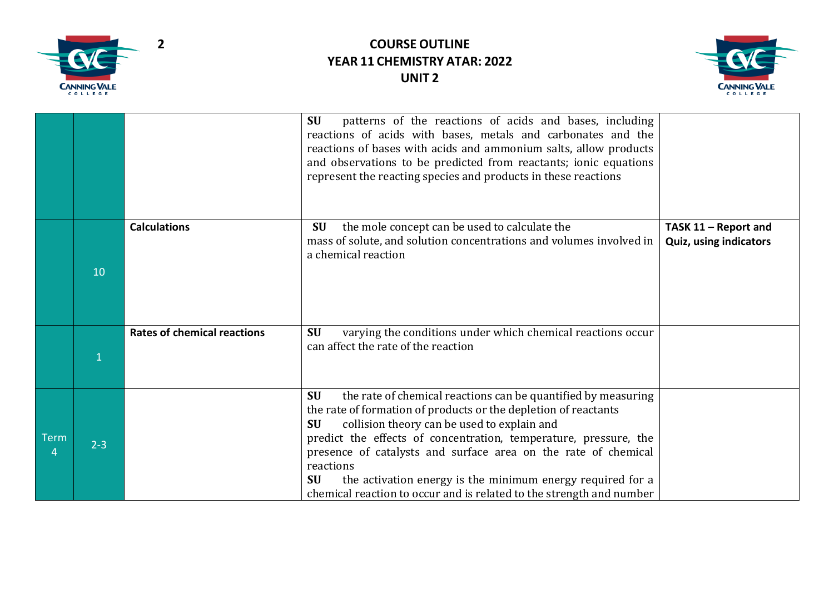



|             |         |                                    | patterns of the reactions of acids and bases, including<br><b>SU</b><br>reactions of acids with bases, metals and carbonates and the<br>reactions of bases with acids and ammonium salts, allow products<br>and observations to be predicted from reactants; ionic equations<br>represent the reacting species and products in these reactions                                                                                                                                                                  |                                                       |
|-------------|---------|------------------------------------|-----------------------------------------------------------------------------------------------------------------------------------------------------------------------------------------------------------------------------------------------------------------------------------------------------------------------------------------------------------------------------------------------------------------------------------------------------------------------------------------------------------------|-------------------------------------------------------|
|             | 10      | <b>Calculations</b>                | the mole concept can be used to calculate the<br><b>SU</b><br>mass of solute, and solution concentrations and volumes involved in<br>a chemical reaction                                                                                                                                                                                                                                                                                                                                                        | TASK 11 - Report and<br><b>Quiz, using indicators</b> |
|             |         | <b>Rates of chemical reactions</b> | <b>SU</b><br>varying the conditions under which chemical reactions occur<br>can affect the rate of the reaction                                                                                                                                                                                                                                                                                                                                                                                                 |                                                       |
| <b>Term</b> | $2 - 3$ |                                    | <b>SU</b><br>the rate of chemical reactions can be quantified by measuring<br>the rate of formation of products or the depletion of reactants<br>collision theory can be used to explain and<br><b>SU</b><br>predict the effects of concentration, temperature, pressure, the<br>presence of catalysts and surface area on the rate of chemical<br>reactions<br>the activation energy is the minimum energy required for a<br><b>SU</b><br>chemical reaction to occur and is related to the strength and number |                                                       |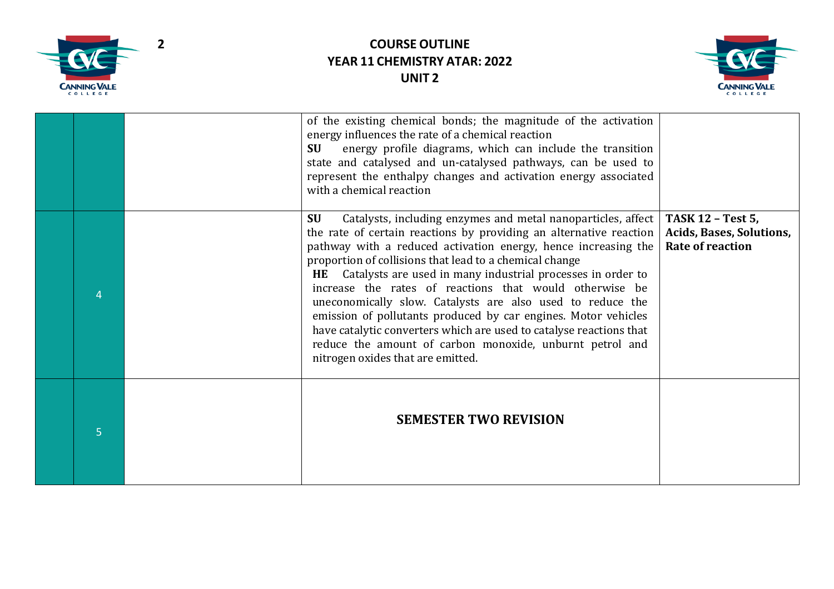



| 5 | <b>SEMESTER TWO REVISION</b>                                                                                                                                                                                                                                                                                                                                                                                                                                                                                                                                                                                                                                                                                      |                                                                                        |
|---|-------------------------------------------------------------------------------------------------------------------------------------------------------------------------------------------------------------------------------------------------------------------------------------------------------------------------------------------------------------------------------------------------------------------------------------------------------------------------------------------------------------------------------------------------------------------------------------------------------------------------------------------------------------------------------------------------------------------|----------------------------------------------------------------------------------------|
|   | Catalysts, including enzymes and metal nanoparticles, affect<br><b>SU</b><br>the rate of certain reactions by providing an alternative reaction<br>pathway with a reduced activation energy, hence increasing the<br>proportion of collisions that lead to a chemical change<br>HE Catalysts are used in many industrial processes in order to<br>increase the rates of reactions that would otherwise be<br>uneconomically slow. Catalysts are also used to reduce the<br>emission of pollutants produced by car engines. Motor vehicles<br>have catalytic converters which are used to catalyse reactions that<br>reduce the amount of carbon monoxide, unburnt petrol and<br>nitrogen oxides that are emitted. | <b>TASK 12 - Test 5,</b><br><b>Acids, Bases, Solutions,</b><br><b>Rate of reaction</b> |
|   | of the existing chemical bonds; the magnitude of the activation<br>energy influences the rate of a chemical reaction<br>energy profile diagrams, which can include the transition<br><b>SU</b><br>state and catalysed and un-catalysed pathways, can be used to<br>represent the enthalpy changes and activation energy associated<br>with a chemical reaction                                                                                                                                                                                                                                                                                                                                                    |                                                                                        |